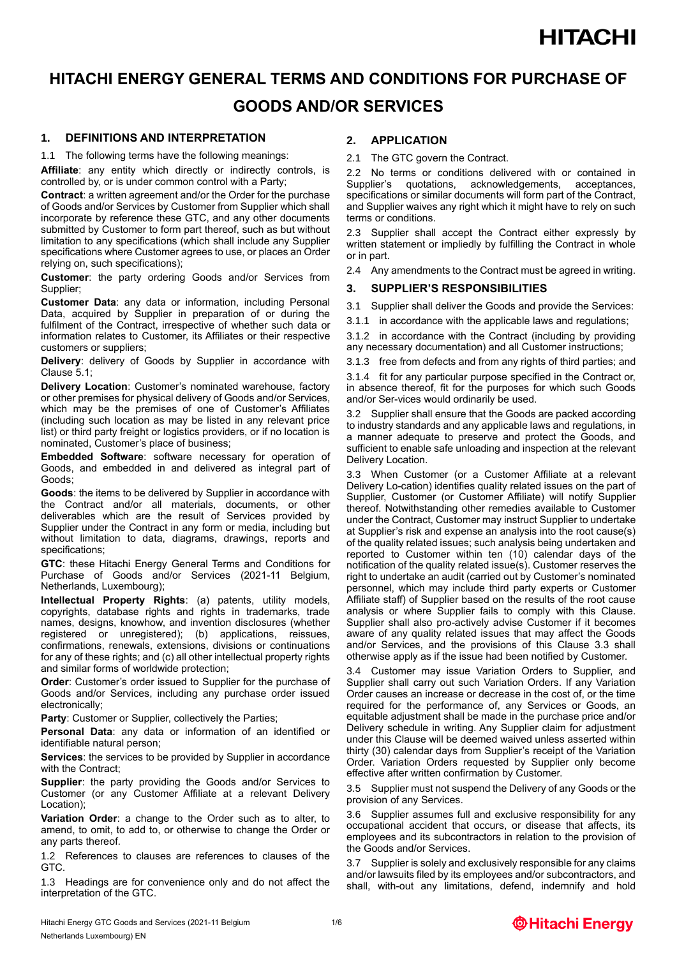### **HITACHI ENERGY GENERAL TERMS AND CONDITIONS FOR PURCHASE OF GOODS AND/OR SERVICES**

### **1. DEFINITIONS AND INTERPRETATION**

1.1 The following terms have the following meanings:

**Affiliate**: any entity which directly or indirectly controls, is controlled by, or is under common control with a Party;

**Contract**: a written agreement and/or the Order for the purchase of Goods and/or Services by Customer from Supplier which shall incorporate by reference these GTC, and any other documents submitted by Customer to form part thereof, such as but without limitation to any specifications (which shall include any Supplier specifications where Customer agrees to use, or places an Order relying on, such specifications);

**Customer**: the party ordering Goods and/or Services from Supplier;

**Customer Data**: any data or information, including Personal Data, acquired by Supplier in preparation of or during the fulfilment of the Contract, irrespective of whether such data or information relates to Customer, its Affiliates or their respective customers or suppliers;

**Delivery**: delivery of Goods by Supplier in accordance with Clause 5.1;

**Delivery Location**: Customer's nominated warehouse, factory or other premises for physical delivery of Goods and/or Services, which may be the premises of one of Customer's Affiliates (including such location as may be listed in any relevant price list) or third party freight or logistics providers, or if no location is nominated, Customer's place of business;

**Embedded Software**: software necessary for operation of Goods, and embedded in and delivered as integral part of Goods;

**Goods**: the items to be delivered by Supplier in accordance with the Contract and/or all materials, documents, or other deliverables which are the result of Services provided by Supplier under the Contract in any form or media, including but without limitation to data, diagrams, drawings, reports and specifications;

**GTC**: these Hitachi Energy General Terms and Conditions for Purchase of Goods and/or Services (2021-11 Belgium, Netherlands, Luxembourg);

**Intellectual Property Rights**: (a) patents, utility models, copyrights, database rights and rights in trademarks, trade names, designs, knowhow, and invention disclosures (whether registered or unregistered); (b) applications, reissues, confirmations, renewals, extensions, divisions or continuations for any of these rights; and (c) all other intellectual property rights and similar forms of worldwide protection;

**Order**: Customer's order issued to Supplier for the purchase of Goods and/or Services, including any purchase order issued electronically;

**Party: Customer or Supplier, collectively the Parties;** 

**Personal Data**: any data or information of an identified or identifiable natural person:

**Services**: the services to be provided by Supplier in accordance with the Contract:

**Supplier**: the party providing the Goods and/or Services to Customer (or any Customer Affiliate at a relevant Delivery Location);

**Variation Order**: a change to the Order such as to alter, to amend, to omit, to add to, or otherwise to change the Order or any parts thereof.

1.2 References to clauses are references to clauses of the GTC.

1.3 Headings are for convenience only and do not affect the interpretation of the GTC.

#### **2. APPLICATION**

2.1 The GTC govern the Contract.

2.2 No terms or conditions delivered with or contained in Supplier's quotations, acknowledgements, acceptances, specifications or similar documents will form part of the Contract, and Supplier waives any right which it might have to rely on such terms or conditions.

2.3 Supplier shall accept the Contract either expressly by written statement or impliedly by fulfilling the Contract in whole or in part.

2.4 Any amendments to the Contract must be agreed in writing.

#### **3. SUPPLIER'S RESPONSIBILITIES**

3.1 Supplier shall deliver the Goods and provide the Services:

3.1.1 in accordance with the applicable laws and regulations;

3.1.2 in accordance with the Contract (including by providing any necessary documentation) and all Customer instructions;

3.1.3 free from defects and from any rights of third parties; and

3.1.4 fit for any particular purpose specified in the Contract or, in absence thereof, fit for the purposes for which such Goods and/or Ser-vices would ordinarily be used.

3.2 Supplier shall ensure that the Goods are packed according to industry standards and any applicable laws and regulations, in a manner adequate to preserve and protect the Goods, and sufficient to enable safe unloading and inspection at the relevant Delivery Location.

3.3 When Customer (or a Customer Affiliate at a relevant Delivery Lo-cation) identifies quality related issues on the part of Supplier, Customer (or Customer Affiliate) will notify Supplier thereof. Notwithstanding other remedies available to Customer under the Contract, Customer may instruct Supplier to undertake at Supplier's risk and expense an analysis into the root cause(s) of the quality related issues; such analysis being undertaken and reported to Customer within ten (10) calendar days of the notification of the quality related issue(s). Customer reserves the right to undertake an audit (carried out by Customer's nominated personnel, which may include third party experts or Customer Affiliate staff) of Supplier based on the results of the root cause analysis or where Supplier fails to comply with this Clause. Supplier shall also pro-actively advise Customer if it becomes aware of any quality related issues that may affect the Goods and/or Services, and the provisions of this Clause 3.3 shall otherwise apply as if the issue had been notified by Customer.

3.4 Customer may issue Variation Orders to Supplier, and Supplier shall carry out such Variation Orders. If any Variation Order causes an increase or decrease in the cost of, or the time required for the performance of, any Services or Goods, an equitable adjustment shall be made in the purchase price and/or Delivery schedule in writing. Any Supplier claim for adjustment under this Clause will be deemed waived unless asserted within thirty (30) calendar days from Supplier's receipt of the Variation Order. Variation Orders requested by Supplier only become effective after written confirmation by Customer.

3.5 Supplier must not suspend the Delivery of any Goods or the provision of any Services.

3.6 Supplier assumes full and exclusive responsibility for any occupational accident that occurs, or disease that affects, its employees and its subcontractors in relation to the provision of the Goods and/or Services.

3.7 Supplier is solely and exclusively responsible for any claims and/or lawsuits filed by its employees and/or subcontractors, and shall, with-out any limitations, defend, indemnify and hold

Hitachi Energy GTC Goods and Services (2021-11 Belgium 1/6 Netherlands Luxembourg) EN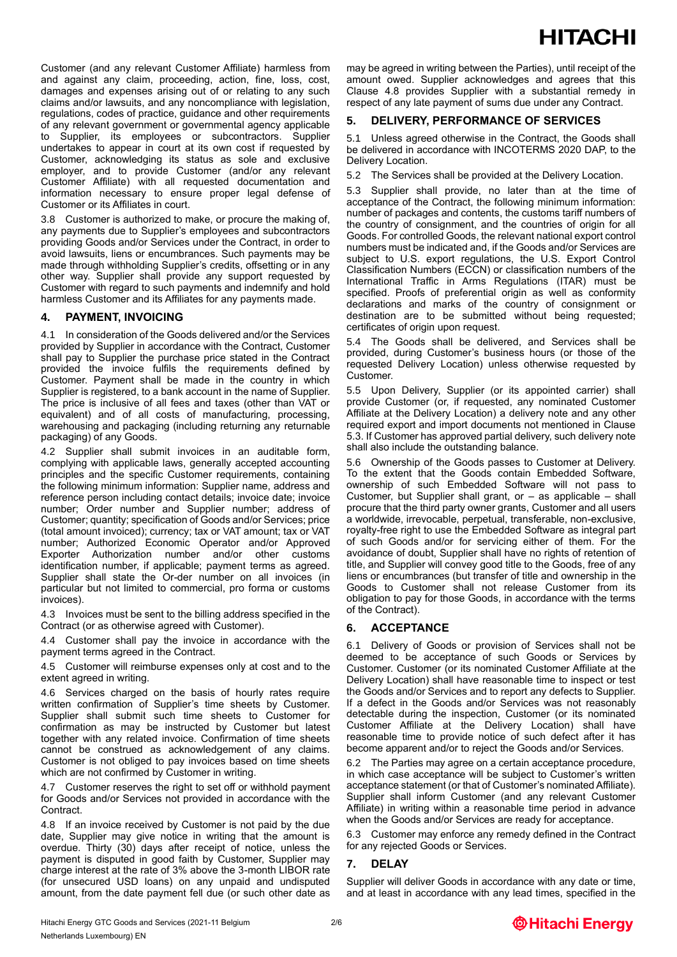Customer (and any relevant Customer Affiliate) harmless from and against any claim, proceeding, action, fine, loss, cost, damages and expenses arising out of or relating to any such claims and/or lawsuits, and any noncompliance with legislation, regulations, codes of practice, guidance and other requirements of any relevant government or governmental agency applicable to Supplier, its employees or subcontractors. Supplier undertakes to appear in court at its own cost if requested by Customer, acknowledging its status as sole and exclusive employer, and to provide Customer (and/or any relevant Customer Affiliate) with all requested documentation and information necessary to ensure proper legal defense of Customer or its Affiliates in court.

3.8 Customer is authorized to make, or procure the making of, any payments due to Supplier's employees and subcontractors providing Goods and/or Services under the Contract, in order to avoid lawsuits, liens or encumbrances. Such payments may be made through withholding Supplier's credits, offsetting or in any other way. Supplier shall provide any support requested by Customer with regard to such payments and indemnify and hold harmless Customer and its Affiliates for any payments made.

### **4. PAYMENT, INVOICING**

4.1 In consideration of the Goods delivered and/or the Services provided by Supplier in accordance with the Contract, Customer shall pay to Supplier the purchase price stated in the Contract provided the invoice fulfils the requirements defined by Customer. Payment shall be made in the country in which Supplier is registered, to a bank account in the name of Supplier. The price is inclusive of all fees and taxes (other than VAT or equivalent) and of all costs of manufacturing, processing, warehousing and packaging (including returning any returnable packaging) of any Goods.

4.2 Supplier shall submit invoices in an auditable form, complying with applicable laws, generally accepted accounting principles and the specific Customer requirements, containing the following minimum information: Supplier name, address and reference person including contact details; invoice date; invoice number; Order number and Supplier number; address of Customer; quantity; specification of Goods and/or Services; price (total amount invoiced); currency; tax or VAT amount; tax or VAT number; Authorized Economic Operator and/or Approved Exporter Authorization number and/or other customs identification number, if applicable; payment terms as agreed. Supplier shall state the Or-der number on all invoices (in particular but not limited to commercial, pro forma or customs invoices).

4.3 Invoices must be sent to the billing address specified in the Contract (or as otherwise agreed with Customer).

4.4 Customer shall pay the invoice in accordance with the payment terms agreed in the Contract.

4.5 Customer will reimburse expenses only at cost and to the extent agreed in writing.

4.6 Services charged on the basis of hourly rates require written confirmation of Supplier's time sheets by Customer. Supplier shall submit such time sheets to Customer for confirmation as may be instructed by Customer but latest together with any related invoice. Confirmation of time sheets cannot be construed as acknowledgement of any claims. Customer is not obliged to pay invoices based on time sheets which are not confirmed by Customer in writing.

4.7 Customer reserves the right to set off or withhold payment for Goods and/or Services not provided in accordance with the Contract.

4.8 If an invoice received by Customer is not paid by the due date, Supplier may give notice in writing that the amount is overdue. Thirty (30) days after receipt of notice, unless the payment is disputed in good faith by Customer, Supplier may charge interest at the rate of 3% above the 3-month LIBOR rate (for unsecured USD loans) on any unpaid and undisputed amount, from the date payment fell due (or such other date as may be agreed in writing between the Parties), until receipt of the amount owed. Supplier acknowledges and agrees that this Clause 4.8 provides Supplier with a substantial remedy in respect of any late payment of sums due under any Contract.

### **5. DELIVERY, PERFORMANCE OF SERVICES**

5.1 Unless agreed otherwise in the Contract, the Goods shall be delivered in accordance with INCOTERMS 2020 DAP, to the Delivery Location.

5.2 The Services shall be provided at the Delivery Location.

5.3 Supplier shall provide, no later than at the time of acceptance of the Contract, the following minimum information: number of packages and contents, the customs tariff numbers of the country of consignment, and the countries of origin for all Goods. For controlled Goods, the relevant national export control numbers must be indicated and, if the Goods and/or Services are subject to U.S. export regulations, the U.S. Export Control Classification Numbers (ECCN) or classification numbers of the International Traffic in Arms Regulations (ITAR) must be specified. Proofs of preferential origin as well as conformity declarations and marks of the country of consignment or destination are to be submitted without being requested; certificates of origin upon request.

5.4 The Goods shall be delivered, and Services shall be provided, during Customer's business hours (or those of the requested Delivery Location) unless otherwise requested by Customer.

5.5 Upon Delivery, Supplier (or its appointed carrier) shall provide Customer (or, if requested, any nominated Customer Affiliate at the Delivery Location) a delivery note and any other required export and import documents not mentioned in Clause 5.3. If Customer has approved partial delivery, such delivery note shall also include the outstanding balance.

5.6 Ownership of the Goods passes to Customer at Delivery. To the extent that the Goods contain Embedded Software, ownership of such Embedded Software will not pass to Customer, but Supplier shall grant, or  $-$  as applicable  $-$  shall procure that the third party owner grants, Customer and all users a worldwide, irrevocable, perpetual, transferable, non-exclusive, royalty-free right to use the Embedded Software as integral part of such Goods and/or for servicing either of them. For the avoidance of doubt, Supplier shall have no rights of retention of title, and Supplier will convey good title to the Goods, free of any liens or encumbrances (but transfer of title and ownership in the Goods to Customer shall not release Customer from its obligation to pay for those Goods, in accordance with the terms of the Contract).

### **6. ACCEPTANCE**

6.1 Delivery of Goods or provision of Services shall not be deemed to be acceptance of such Goods or Services by Customer. Customer (or its nominated Customer Affiliate at the Delivery Location) shall have reasonable time to inspect or test the Goods and/or Services and to report any defects to Supplier. If a defect in the Goods and/or Services was not reasonably detectable during the inspection, Customer (or its nominated Customer Affiliate at the Delivery Location) shall have reasonable time to provide notice of such defect after it has become apparent and/or to reject the Goods and/or Services.

6.2 The Parties may agree on a certain acceptance procedure, in which case acceptance will be subject to Customer's written acceptance statement (or that of Customer's nominated Affiliate). Supplier shall inform Customer (and any relevant Customer Affiliate) in writing within a reasonable time period in advance when the Goods and/or Services are ready for acceptance.

6.3 Customer may enforce any remedy defined in the Contract for any rejected Goods or Services.

### **7. DELAY**

Supplier will deliver Goods in accordance with any date or time, and at least in accordance with any lead times, specified in the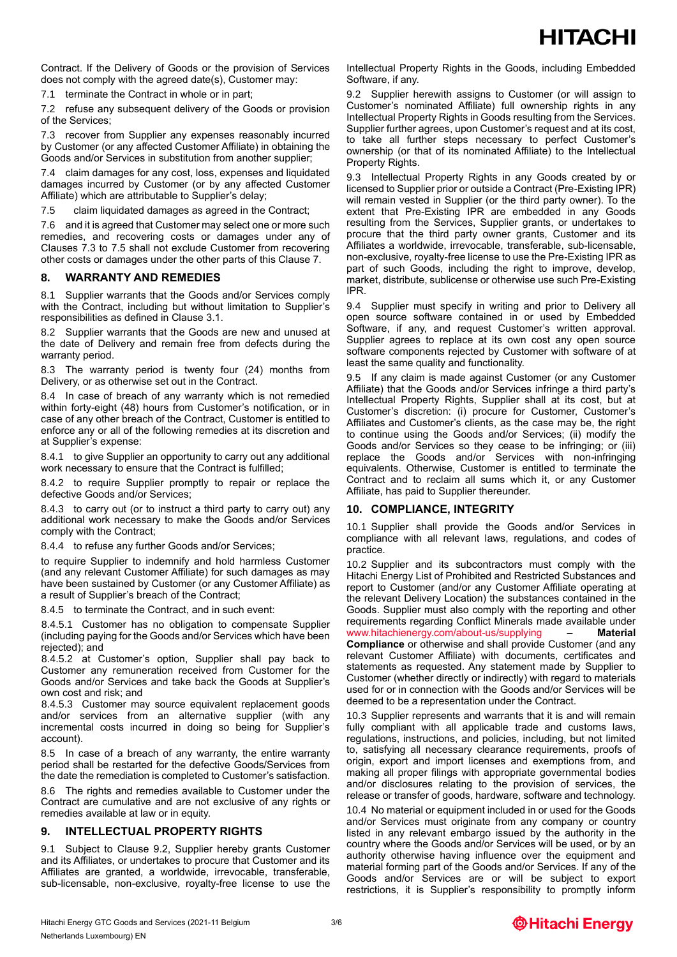Contract. If the Delivery of Goods or the provision of Services does not comply with the agreed date(s), Customer may:

7.1 terminate the Contract in whole or in part;

7.2 refuse any subsequent delivery of the Goods or provision of the Services;

7.3 recover from Supplier any expenses reasonably incurred by Customer (or any affected Customer Affiliate) in obtaining the Goods and/or Services in substitution from another supplier;

7.4 claim damages for any cost, loss, expenses and liquidated damages incurred by Customer (or by any affected Customer Affiliate) which are attributable to Supplier's delay;

7.5 claim liquidated damages as agreed in the Contract;

7.6 and it is agreed that Customer may select one or more such remedies, and recovering costs or damages under any of Clauses 7.3 to 7.5 shall not exclude Customer from recovering other costs or damages under the other parts of this Clause 7.

### **8. WARRANTY AND REMEDIES**

8.1 Supplier warrants that the Goods and/or Services comply with the Contract, including but without limitation to Supplier's responsibilities as defined in Clause 3.1.

8.2 Supplier warrants that the Goods are new and unused at the date of Delivery and remain free from defects during the warranty period.

8.3 The warranty period is twenty four (24) months from Delivery, or as otherwise set out in the Contract.

8.4 In case of breach of any warranty which is not remedied within forty-eight (48) hours from Customer's notification, or in case of any other breach of the Contract, Customer is entitled to enforce any or all of the following remedies at its discretion and at Supplier's expense:

8.4.1 to give Supplier an opportunity to carry out any additional work necessary to ensure that the Contract is fulfilled;

8.4.2 to require Supplier promptly to repair or replace the defective Goods and/or Services;

8.4.3 to carry out (or to instruct a third party to carry out) any additional work necessary to make the Goods and/or Services comply with the Contract;

8.4.4 to refuse any further Goods and/or Services;

to require Supplier to indemnify and hold harmless Customer (and any relevant Customer Affiliate) for such damages as may have been sustained by Customer (or any Customer Affiliate) as a result of Supplier's breach of the Contract;

8.4.5 to terminate the Contract, and in such event:

8.4.5.1 Customer has no obligation to compensate Supplier (including paying for the Goods and/or Services which have been rejected); and

8.4.5.2 at Customer's option, Supplier shall pay back to Customer any remuneration received from Customer for the Goods and/or Services and take back the Goods at Supplier's own cost and risk; and

8.4.5.3 Customer may source equivalent replacement goods and/or services from an alternative supplier (with any incremental costs incurred in doing so being for Supplier's account).

8.5 In case of a breach of any warranty, the entire warranty period shall be restarted for the defective Goods/Services from the date the remediation is completed to Customer's satisfaction.

8.6 The rights and remedies available to Customer under the Contract are cumulative and are not exclusive of any rights or remedies available at law or in equity.

### **9. INTELLECTUAL PROPERTY RIGHTS**

9.1 Subject to Clause 9.2, Supplier hereby grants Customer and its Affiliates, or undertakes to procure that Customer and its Affiliates are granted, a worldwide, irrevocable, transferable, sub-licensable, non-exclusive, royalty-free license to use the Intellectual Property Rights in the Goods, including Embedded Software, if any.

9.2 Supplier herewith assigns to Customer (or will assign to Customer's nominated Affiliate) full ownership rights in any Intellectual Property Rights in Goods resulting from the Services. Supplier further agrees, upon Customer's request and at its cost, to take all further steps necessary to perfect Customer's ownership (or that of its nominated Affiliate) to the Intellectual Property Rights.

9.3 Intellectual Property Rights in any Goods created by or licensed to Supplier prior or outside a Contract (Pre-Existing IPR) will remain vested in Supplier (or the third party owner). To the extent that Pre-Existing IPR are embedded in any Goods resulting from the Services, Supplier grants, or undertakes to procure that the third party owner grants, Customer and its Affiliates a worldwide, irrevocable, transferable, sub-licensable, non-exclusive, royalty-free license to use the Pre-Existing IPR as part of such Goods, including the right to improve, develop, market, distribute, sublicense or otherwise use such Pre-Existing IPR.

9.4 Supplier must specify in writing and prior to Delivery all open source software contained in or used by Embedded Software, if any, and request Customer's written approval. Supplier agrees to replace at its own cost any open source software components rejected by Customer with software of at least the same quality and functionality.

9.5 If any claim is made against Customer (or any Customer Affiliate) that the Goods and/or Services infringe a third party's Intellectual Property Rights, Supplier shall at its cost, but at Customer's discretion: (i) procure for Customer, Customer's Affiliates and Customer's clients, as the case may be, the right to continue using the Goods and/or Services; (ii) modify the Goods and/or Services so they cease to be infringing; or (iii) replace the Goods and/or Services with non-infringing equivalents. Otherwise, Customer is entitled to terminate the Contract and to reclaim all sums which it, or any Customer Affiliate, has paid to Supplier thereunder.

### **10. COMPLIANCE, INTEGRITY**

10.1 Supplier shall provide the Goods and/or Services in compliance with all relevant laws, regulations, and codes of practice.

10.2 Supplier and its subcontractors must comply with the Hitachi Energy List of Prohibited and Restricted Substances and report to Customer (and/or any Customer Affiliate operating at the relevant Delivery Location) the substances contained in the Goods. Supplier must also comply with the reporting and other requirements regarding Conflict Minerals made available under [www.hitachienergy.com/about-us/supplying](http://www.hitachienergy.com/about-us/supplying) **– Material Compliance** or otherwise and shall provide Customer (and any relevant Customer Affiliate) with documents, certificates and statements as requested. Any statement made by Supplier to Customer (whether directly or indirectly) with regard to materials used for or in connection with the Goods and/or Services will be deemed to be a representation under the Contract.

10.3 Supplier represents and warrants that it is and will remain fully compliant with all applicable trade and customs laws, regulations, instructions, and policies, including, but not limited to, satisfying all necessary clearance requirements, proofs of origin, export and import licenses and exemptions from, and making all proper filings with appropriate governmental bodies and/or disclosures relating to the provision of services, the release or transfer of goods, hardware, software and technology.

10.4 No material or equipment included in or used for the Goods and/or Services must originate from any company or country listed in any relevant embargo issued by the authority in the country where the Goods and/or Services will be used, or by an authority otherwise having influence over the equipment and material forming part of the Goods and/or Services. If any of the Goods and/or Services are or will be subject to export restrictions, it is Supplier's responsibility to promptly inform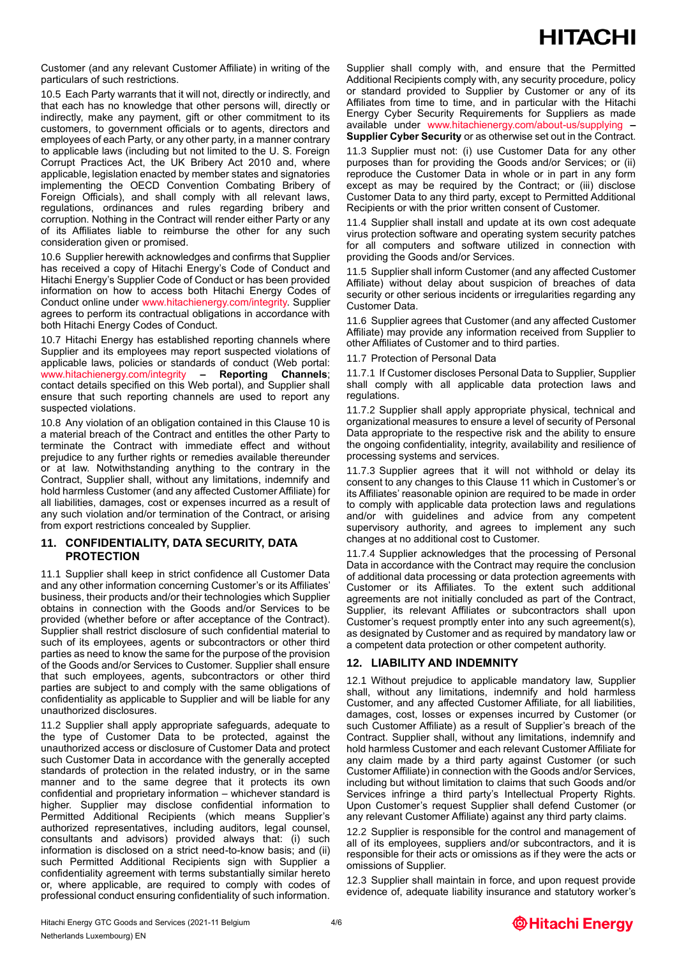# **HITACHI**

Customer (and any relevant Customer Affiliate) in writing of the particulars of such restrictions.

10.5 Each Party warrants that it will not, directly or indirectly, and that each has no knowledge that other persons will, directly or indirectly, make any payment, gift or other commitment to its customers, to government officials or to agents, directors and employees of each Party, or any other party, in a manner contrary to applicable laws (including but not limited to the U. S. Foreign Corrupt Practices Act, the UK Bribery Act 2010 and, where applicable, legislation enacted by member states and signatories implementing the OECD Convention Combating Bribery of Foreign Officials), and shall comply with all relevant laws, regulations, ordinances and rules regarding bribery and corruption. Nothing in the Contract will render either Party or any of its Affiliates liable to reimburse the other for any such consideration given or promised.

10.6 Supplier herewith acknowledges and confirms that Supplier has received a copy of Hitachi Energy's Code of Conduct and Hitachi Energy's Supplier Code of Conduct or has been provided information on how to access both Hitachi Energy Codes of Conduct online under [www.hitachienergy.com/integrity.](http://www.hitachienergy.com/integrity) Supplier agrees to perform its contractual obligations in accordance with both Hitachi Energy Codes of Conduct.

10.7 Hitachi Energy has established reporting channels where Supplier and its employees may report suspected violations of applicable laws, policies or standards of conduct (Web portal: [www.hitachienergy.com/integrity](http://www.hitachienergy.com/integrity) **– Reporting Channels**; contact details specified on this Web portal), and Supplier shall ensure that such reporting channels are used to report any suspected violations.

10.8 Any violation of an obligation contained in this Clause 10 is a material breach of the Contract and entitles the other Party to terminate the Contract with immediate effect and without prejudice to any further rights or remedies available thereunder or at law. Notwithstanding anything to the contrary in the Contract, Supplier shall, without any limitations, indemnify and hold harmless Customer (and any affected Customer Affiliate) for all liabilities, damages, cost or expenses incurred as a result of any such violation and/or termination of the Contract, or arising from export restrictions concealed by Supplier.

### **11. CONFIDENTIALITY, DATA SECURITY, DATA PROTECTION**

11.1 Supplier shall keep in strict confidence all Customer Data and any other information concerning Customer's or its Affiliates' business, their products and/or their technologies which Supplier obtains in connection with the Goods and/or Services to be provided (whether before or after acceptance of the Contract). Supplier shall restrict disclosure of such confidential material to such of its employees, agents or subcontractors or other third parties as need to know the same for the purpose of the provision of the Goods and/or Services to Customer. Supplier shall ensure that such employees, agents, subcontractors or other third parties are subject to and comply with the same obligations of confidentiality as applicable to Supplier and will be liable for any unauthorized disclosures.

11.2 Supplier shall apply appropriate safeguards, adequate to the type of Customer Data to be protected, against the unauthorized access or disclosure of Customer Data and protect such Customer Data in accordance with the generally accepted standards of protection in the related industry, or in the same manner and to the same degree that it protects its own confidential and proprietary information – whichever standard is higher. Supplier may disclose confidential information to Permitted Additional Recipients (which means Supplier's authorized representatives, including auditors, legal counsel, consultants and advisors) provided always that: (i) such information is disclosed on a strict need-to-know basis; and (ii) such Permitted Additional Recipients sign with Supplier a confidentiality agreement with terms substantially similar hereto or, where applicable, are required to comply with codes of professional conduct ensuring confidentiality of such information.

Supplier shall comply with, and ensure that the Permitted Additional Recipients comply with, any security procedure, policy or standard provided to Supplier by Customer or any of its Affiliates from time to time, and in particular with the Hitachi Energy Cyber Security Requirements for Suppliers as made available under [www.hitachienergy.com/about-us/supplying](http://www.hitachienergy.com/about-us/supplying) **– Supplier Cyber Security** or as otherwise set out in the Contract.

11.3 Supplier must not: (i) use Customer Data for any other purposes than for providing the Goods and/or Services; or (ii) reproduce the Customer Data in whole or in part in any form except as may be required by the Contract; or (iii) disclose Customer Data to any third party, except to Permitted Additional Recipients or with the prior written consent of Customer.

11.4 Supplier shall install and update at its own cost adequate virus protection software and operating system security patches for all computers and software utilized in connection with providing the Goods and/or Services.

11.5 Supplier shall inform Customer (and any affected Customer Affiliate) without delay about suspicion of breaches of data security or other serious incidents or irregularities regarding any Customer Data.

11.6 Supplier agrees that Customer (and any affected Customer Affiliate) may provide any information received from Supplier to other Affiliates of Customer and to third parties.

11.7 Protection of Personal Data

11.7.1 If Customer discloses Personal Data to Supplier, Supplier shall comply with all applicable data protection laws and regulations.

11.7.2 Supplier shall apply appropriate physical, technical and organizational measures to ensure a level of security of Personal Data appropriate to the respective risk and the ability to ensure the ongoing confidentiality, integrity, availability and resilience of processing systems and services.

11.7.3 Supplier agrees that it will not withhold or delay its consent to any changes to this Clause 11 which in Customer's or its Affiliates' reasonable opinion are required to be made in order to comply with applicable data protection laws and regulations and/or with guidelines and advice from any competent supervisory authority, and agrees to implement any such changes at no additional cost to Customer.

11.7.4 Supplier acknowledges that the processing of Personal Data in accordance with the Contract may require the conclusion of additional data processing or data protection agreements with Customer or its Affiliates. To the extent such additional agreements are not initially concluded as part of the Contract, Supplier, its relevant Affiliates or subcontractors shall upon Customer's request promptly enter into any such agreement(s), as designated by Customer and as required by mandatory law or a competent data protection or other competent authority.

### **12. LIABILITY AND INDEMNITY**

12.1 Without prejudice to applicable mandatory law, Supplier shall, without any limitations, indemnify and hold harmless Customer, and any affected Customer Affiliate, for all liabilities, damages, cost, losses or expenses incurred by Customer (or such Customer Affiliate) as a result of Supplier's breach of the Contract. Supplier shall, without any limitations, indemnify and hold harmless Customer and each relevant Customer Affiliate for any claim made by a third party against Customer (or such Customer Affiliate) in connection with the Goods and/or Services, including but without limitation to claims that such Goods and/or Services infringe a third party's Intellectual Property Rights. Upon Customer's request Supplier shall defend Customer (or any relevant Customer Affiliate) against any third party claims.

12.2 Supplier is responsible for the control and management of all of its employees, suppliers and/or subcontractors, and it is responsible for their acts or omissions as if they were the acts or omissions of Supplier.

12.3 Supplier shall maintain in force, and upon request provide evidence of, adequate liability insurance and statutory worker's

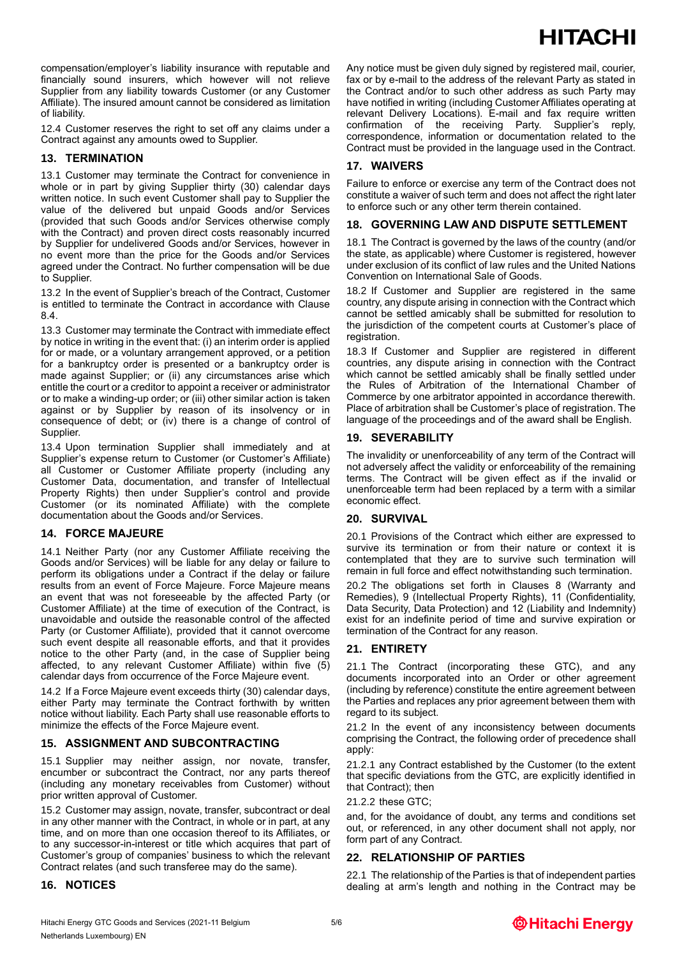# **HITACHI**

compensation/employer's liability insurance with reputable and financially sound insurers, which however will not relieve Supplier from any liability towards Customer (or any Customer Affiliate). The insured amount cannot be considered as limitation of liability.

12.4 Customer reserves the right to set off any claims under a Contract against any amounts owed to Supplier.

### **13. TERMINATION**

13.1 Customer may terminate the Contract for convenience in whole or in part by giving Supplier thirty (30) calendar days written notice. In such event Customer shall pay to Supplier the value of the delivered but unpaid Goods and/or Services (provided that such Goods and/or Services otherwise comply with the Contract) and proven direct costs reasonably incurred by Supplier for undelivered Goods and/or Services, however in no event more than the price for the Goods and/or Services agreed under the Contract. No further compensation will be due to Supplier.

13.2 In the event of Supplier's breach of the Contract, Customer is entitled to terminate the Contract in accordance with Clause 8.4.

13.3 Customer may terminate the Contract with immediate effect by notice in writing in the event that: (i) an interim order is applied for or made, or a voluntary arrangement approved, or a petition for a bankruptcy order is presented or a bankruptcy order is made against Supplier; or (ii) any circumstances arise which entitle the court or a creditor to appoint a receiver or administrator or to make a winding-up order; or (iii) other similar action is taken against or by Supplier by reason of its insolvency or in consequence of debt; or (iv) there is a change of control of Supplier.

13.4 Upon termination Supplier shall immediately and at Supplier's expense return to Customer (or Customer's Affiliate) all Customer or Customer Affiliate property (including any Customer Data, documentation, and transfer of Intellectual Property Rights) then under Supplier's control and provide Customer (or its nominated Affiliate) with the complete documentation about the Goods and/or Services.

### **14. FORCE MAJEURE**

14.1 Neither Party (nor any Customer Affiliate receiving the Goods and/or Services) will be liable for any delay or failure to perform its obligations under a Contract if the delay or failure results from an event of Force Majeure. Force Majeure means an event that was not foreseeable by the affected Party (or Customer Affiliate) at the time of execution of the Contract, is unavoidable and outside the reasonable control of the affected Party (or Customer Affiliate), provided that it cannot overcome such event despite all reasonable efforts, and that it provides notice to the other Party (and, in the case of Supplier being affected, to any relevant Customer Affiliate) within five (5) calendar days from occurrence of the Force Majeure event.

14.2 If a Force Majeure event exceeds thirty (30) calendar days, either Party may terminate the Contract forthwith by written notice without liability. Each Party shall use reasonable efforts to minimize the effects of the Force Majeure event.

### **15. ASSIGNMENT AND SUBCONTRACTING**

15.1 Supplier may neither assign, nor novate, transfer, encumber or subcontract the Contract, nor any parts thereof (including any monetary receivables from Customer) without prior written approval of Customer.

15.2 Customer may assign, novate, transfer, subcontract or deal in any other manner with the Contract, in whole or in part, at any time, and on more than one occasion thereof to its Affiliates, or to any successor-in-interest or title which acquires that part of Customer's group of companies' business to which the relevant Contract relates (and such transferee may do the same).

### **16. NOTICES**

Any notice must be given duly signed by registered mail, courier, fax or by e-mail to the address of the relevant Party as stated in the Contract and/or to such other address as such Party may have notified in writing (including Customer Affiliates operating at relevant Delivery Locations). E-mail and fax require written confirmation of the receiving Party. Supplier's reply, correspondence, information or documentation related to the Contract must be provided in the language used in the Contract.

### **17. WAIVERS**

Failure to enforce or exercise any term of the Contract does not constitute a waiver of such term and does not affect the right later to enforce such or any other term therein contained.

### **18. GOVERNING LAW AND DISPUTE SETTLEMENT**

18.1 The Contract is governed by the laws of the country (and/or the state, as applicable) where Customer is registered, however under exclusion of its conflict of law rules and the United Nations Convention on International Sale of Goods.

18.2 If Customer and Supplier are registered in the same country, any dispute arising in connection with the Contract which cannot be settled amicably shall be submitted for resolution to the jurisdiction of the competent courts at Customer's place of registration.

18.3 If Customer and Supplier are registered in different countries, any dispute arising in connection with the Contract which cannot be settled amicably shall be finally settled under the Rules of Arbitration of the International Chamber of Commerce by one arbitrator appointed in accordance therewith. Place of arbitration shall be Customer's place of registration. The language of the proceedings and of the award shall be English.

### **19. SEVERABILITY**

The invalidity or unenforceability of any term of the Contract will not adversely affect the validity or enforceability of the remaining terms. The Contract will be given effect as if the invalid or unenforceable term had been replaced by a term with a similar economic effect.

### **20. SURVIVAL**

20.1 Provisions of the Contract which either are expressed to survive its termination or from their nature or context it is contemplated that they are to survive such termination will remain in full force and effect notwithstanding such termination.

20.2 The obligations set forth in Clauses 8 (Warranty and Remedies), 9 (Intellectual Property Rights), 11 (Confidentiality, Data Security, Data Protection) and 12 (Liability and Indemnity) exist for an indefinite period of time and survive expiration or termination of the Contract for any reason.

### **21. ENTIRETY**

21.1 The Contract (incorporating these GTC), and any documents incorporated into an Order or other agreement (including by reference) constitute the entire agreement between the Parties and replaces any prior agreement between them with regard to its subject.

21.2 In the event of any inconsistency between documents comprising the Contract, the following order of precedence shall apply:

21.2.1 any Contract established by the Customer (to the extent that specific deviations from the GTC, are explicitly identified in that Contract); then

21.2.2 these GTC;

and, for the avoidance of doubt, any terms and conditions set out, or referenced, in any other document shall not apply, nor form part of any Contract.

### **22. RELATIONSHIP OF PARTIES**

22.1 The relationship of the Parties is that of independent parties dealing at arm's length and nothing in the Contract may be